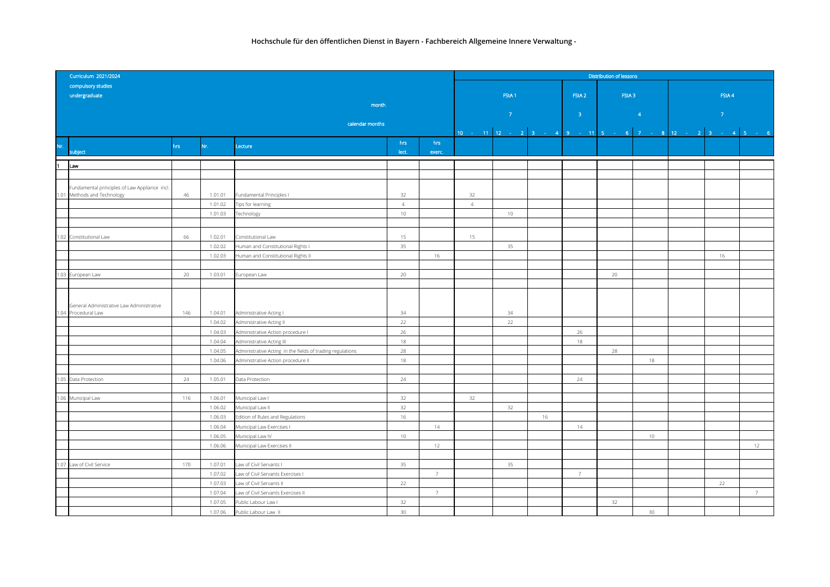| Curriculum 2021/2024 |                                               |     |                    |                                                            |                 |                |                | Distribution of lessons |                                     |                   |                                                            |                   |                |  |  |  |  |  |
|----------------------|-----------------------------------------------|-----|--------------------|------------------------------------------------------------|-----------------|----------------|----------------|-------------------------|-------------------------------------|-------------------|------------------------------------------------------------|-------------------|----------------|--|--|--|--|--|
|                      | compulsory studies                            |     |                    |                                                            |                 |                |                |                         |                                     |                   |                                                            |                   |                |  |  |  |  |  |
|                      | undergraduate                                 |     |                    |                                                            |                 |                |                | FStA <sub>1</sub>       |                                     | FStA <sub>2</sub> | FStA <sub>3</sub>                                          | FStA 4            |                |  |  |  |  |  |
|                      |                                               |     |                    | month                                                      |                 |                |                |                         |                                     |                   |                                                            |                   |                |  |  |  |  |  |
|                      |                                               |     |                    |                                                            |                 |                |                |                         | $\sim$ 7 and 2008 $\sim$ 100 $\sim$ | $-3 -$            |                                                            | $\sim$ 7 $^\circ$ |                |  |  |  |  |  |
|                      | calendar months                               |     |                    |                                                            |                 |                |                |                         |                                     |                   |                                                            |                   |                |  |  |  |  |  |
|                      |                                               |     |                    |                                                            |                 |                |                |                         |                                     |                   | 10 - 11 12 - 2 3 - 4 9 - 11 5 - 6 7 - 8 12 - 2 3 - 4 5 - 6 |                   |                |  |  |  |  |  |
| Nr.                  |                                               | hrs | Nr.                | Lecture                                                    | hrs             | hrs            |                |                         |                                     |                   |                                                            |                   |                |  |  |  |  |  |
|                      | subject                                       |     |                    |                                                            | lect.           | exerc.         |                |                         |                                     |                   |                                                            |                   |                |  |  |  |  |  |
| $\blacksquare$       | Law                                           |     |                    |                                                            |                 |                |                |                         |                                     |                   |                                                            |                   |                |  |  |  |  |  |
|                      |                                               |     |                    |                                                            |                 |                |                |                         |                                     |                   |                                                            |                   |                |  |  |  |  |  |
|                      | Fundamental principles of Law Appliance incl. |     |                    |                                                            |                 |                |                |                         |                                     |                   |                                                            |                   |                |  |  |  |  |  |
|                      | 1.01 Methods and Technology                   | 46  | 1.01.01            | Fundamental Principles I                                   | 32              |                | 32             |                         |                                     |                   |                                                            |                   |                |  |  |  |  |  |
|                      |                                               |     | 1.01.02            | Tips for learning                                          | $\overline{4}$  |                | $\overline{4}$ |                         |                                     |                   |                                                            |                   |                |  |  |  |  |  |
|                      |                                               |     | 1.01.03            | Technology                                                 | 10              |                |                | $10 -$                  |                                     |                   |                                                            |                   |                |  |  |  |  |  |
|                      |                                               |     |                    |                                                            |                 |                |                |                         |                                     |                   |                                                            |                   |                |  |  |  |  |  |
|                      | 1.02 Constitutional Law                       | 66  | 1.02.01            | Constitutional Law                                         | 15              |                | 15             |                         |                                     |                   |                                                            |                   |                |  |  |  |  |  |
|                      |                                               |     | 1.02.02            | Human and Constitutional Rights I                          | 35              |                |                | 35                      |                                     |                   |                                                            |                   |                |  |  |  |  |  |
|                      |                                               |     | 1.02.03            | Iuman and Constitutional Rights II                         |                 | 16             |                |                         |                                     |                   |                                                            | 16                |                |  |  |  |  |  |
|                      |                                               |     |                    |                                                            |                 |                |                |                         |                                     |                   |                                                            |                   |                |  |  |  |  |  |
|                      | 1.03 European Law                             | 20  | 1.03.01            | European Law                                               | 20              |                |                |                         |                                     |                   | 20                                                         |                   |                |  |  |  |  |  |
|                      |                                               |     |                    |                                                            |                 |                |                |                         |                                     |                   |                                                            |                   |                |  |  |  |  |  |
|                      |                                               |     |                    |                                                            |                 |                |                |                         |                                     |                   |                                                            |                   |                |  |  |  |  |  |
|                      | General Administrative Law Administrative     |     |                    |                                                            |                 |                |                |                         |                                     |                   |                                                            |                   |                |  |  |  |  |  |
|                      | 1.04 Procedural Law                           | 146 | 1.04.01            | Administrative Acting I                                    | 34              |                |                | 34                      |                                     |                   |                                                            |                   |                |  |  |  |  |  |
|                      |                                               |     | 1.04.02            | Administrative Acting II                                   | 22              |                |                | 22                      |                                     |                   |                                                            |                   |                |  |  |  |  |  |
|                      |                                               |     | 1.04.03            | Administrative Action procedure I                          | 26              |                |                |                         |                                     | 26                |                                                            |                   |                |  |  |  |  |  |
|                      |                                               |     | 1.04.04            | Administrative Acting III                                  | 18              |                |                |                         |                                     | 18                |                                                            |                   |                |  |  |  |  |  |
|                      |                                               |     | 1.04.05            | Administrative Acting in the fields of trading regulations | 28              |                |                |                         |                                     |                   | 28                                                         |                   |                |  |  |  |  |  |
|                      |                                               |     | 1.04.06            | Administrative Action procedure II                         | 18              |                |                |                         |                                     |                   | 18                                                         |                   |                |  |  |  |  |  |
|                      |                                               |     |                    |                                                            |                 |                |                |                         |                                     |                   |                                                            |                   |                |  |  |  |  |  |
|                      | 1.05 Data Protection                          | 24  | 1.05.01            | Data Protection                                            | 24              |                |                |                         |                                     | 24                |                                                            |                   |                |  |  |  |  |  |
|                      |                                               |     |                    |                                                            |                 |                |                |                         |                                     |                   |                                                            |                   |                |  |  |  |  |  |
|                      | 1.06 Municipal Law                            | 116 | 1.06.01            | Municipal Law I                                            | 32              |                | 32             |                         |                                     |                   |                                                            |                   |                |  |  |  |  |  |
|                      |                                               |     | 1.06.02            | Municipal Law II                                           | 32<br>16        |                |                | 32                      | 16                                  |                   |                                                            |                   |                |  |  |  |  |  |
|                      |                                               |     | 1.06.03<br>1.06.04 | Edition of Rules and Regulations                           |                 | 14             |                |                         |                                     | 14                |                                                            |                   |                |  |  |  |  |  |
|                      |                                               |     | 1.06.05            | Municipal Law Exercises I<br>Municipal Law IV              | $10 -$          |                |                |                         |                                     |                   | $10 -$                                                     |                   |                |  |  |  |  |  |
|                      |                                               |     | 1.06.06            | Municipal Law Exercises II                                 |                 | 12             |                |                         |                                     |                   |                                                            |                   | 12             |  |  |  |  |  |
|                      |                                               |     |                    |                                                            |                 |                |                |                         |                                     |                   |                                                            |                   |                |  |  |  |  |  |
| 1.07                 | Law of Civil Service                          | 170 | 1.07.01            | Law of Civil Servants I                                    | 35              |                |                | 35                      |                                     |                   |                                                            |                   |                |  |  |  |  |  |
|                      |                                               |     | 1.07.02            | aw of Civil Servants Exercises I                           |                 | $\overline{7}$ |                |                         |                                     | $\overline{7}$    |                                                            |                   |                |  |  |  |  |  |
|                      |                                               |     | 1.07.03            | aw of Civil Servants II                                    | 22              |                |                |                         |                                     |                   |                                                            | 22                |                |  |  |  |  |  |
|                      |                                               |     | 1.07.04            | aw of Civil Servants Exercises II                          |                 | $\overline{7}$ |                |                         |                                     |                   |                                                            |                   | $\overline{7}$ |  |  |  |  |  |
|                      |                                               |     | 1.07.05            | Public Labour Law I                                        | 32              |                |                |                         |                                     |                   | 32                                                         |                   |                |  |  |  |  |  |
|                      |                                               |     | 1.07.06            | Public Labour Law II                                       | 30 <sup>°</sup> |                |                |                         |                                     |                   | 30                                                         |                   |                |  |  |  |  |  |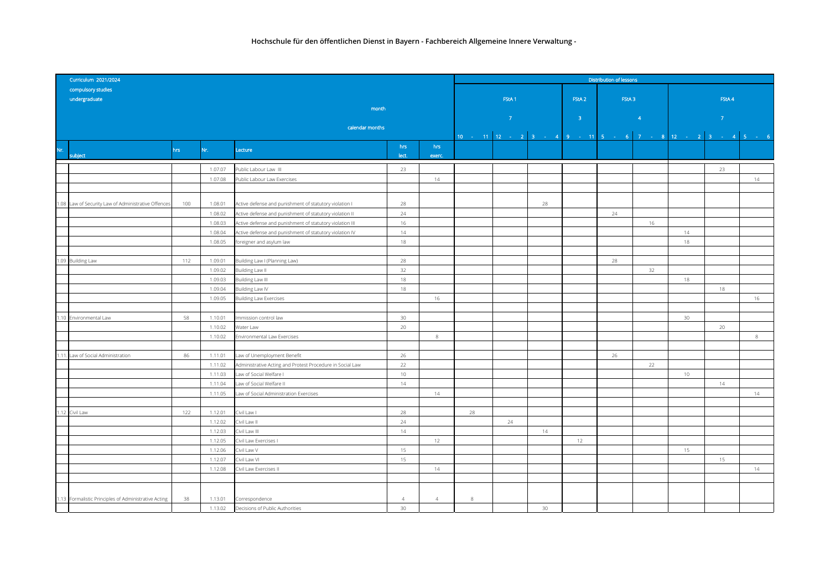|     | Curriculum 2021/2024                                 | Distribution of lessons |                    |                                                                                     |                   |                |                                                            |               |                   |                   |    |                 |                |         |
|-----|------------------------------------------------------|-------------------------|--------------------|-------------------------------------------------------------------------------------|-------------------|----------------|------------------------------------------------------------|---------------|-------------------|-------------------|----|-----------------|----------------|---------|
|     | compulsory studies                                   |                         |                    |                                                                                     |                   |                |                                                            |               |                   |                   |    |                 |                |         |
|     | undergraduate                                        |                         |                    |                                                                                     | FStA <sub>1</sub> |                |                                                            |               | FStA <sub>2</sub> | FStA <sub>3</sub> |    | FStA 4          |                |         |
|     |                                                      |                         |                    | month                                                                               |                   |                |                                                            |               |                   |                   |    |                 |                |         |
|     |                                                      |                         |                    | calendar months                                                                     |                   |                |                                                            | $\mathcal{T}$ | 3 <sup>°</sup>    | $\overline{4}$    |    |                 | $\overline{7}$ |         |
|     |                                                      |                         |                    |                                                                                     |                   |                | 10 - 11 12 - 2 3 - 4 9 - 11 5 - 6 7 - 8 12 - 2 3 - 4 5 - 6 |               |                   |                   |    |                 |                |         |
|     |                                                      |                         |                    |                                                                                     | hrs               | hrs            |                                                            |               |                   |                   |    |                 |                |         |
| Nr. | subject                                              | hrs                     | Nr.                | Lecture                                                                             | lect.             | exerc.         |                                                            |               |                   |                   |    |                 |                |         |
|     |                                                      |                         | 1.07.07            | Public Labour Law III                                                               | 23                |                |                                                            |               |                   |                   |    |                 | 23             |         |
|     |                                                      |                         | 1.07.08            | Public Labour Law Exercises                                                         |                   | 14             |                                                            |               |                   |                   |    |                 |                | 14      |
|     |                                                      |                         |                    |                                                                                     |                   |                |                                                            |               |                   |                   |    |                 |                |         |
|     |                                                      |                         |                    |                                                                                     |                   |                |                                                            |               |                   |                   |    |                 |                |         |
|     | 1.08 Law of Security Law of Administrative Offences  | 100                     | 1.08.01            | Active defense and punishment of statutory violation I                              | 28                |                |                                                            | 28            |                   |                   |    |                 |                |         |
|     |                                                      |                         | 1.08.02            | Active defense and punishment of statutory violation II                             | 24                |                |                                                            |               |                   | 24                |    |                 |                |         |
|     |                                                      |                         | 1.08.03            | Active defense and punishment of statutory violation III                            | 16<br>14          |                |                                                            |               |                   |                   | 16 |                 |                |         |
|     |                                                      |                         | 1.08.04<br>1.08.05 | Active defense and punishment of statutory violation IV<br>foreigner and asylum law | 18                |                |                                                            |               |                   |                   |    | 14<br>18        |                |         |
|     |                                                      |                         |                    |                                                                                     |                   |                |                                                            |               |                   |                   |    |                 |                |         |
|     | 1.09 Building Law                                    | 112                     | 1.09.01            | Building Law I (Planning Law)                                                       | 28                |                |                                                            |               |                   | 28                |    |                 |                |         |
|     |                                                      |                         | 1.09.02            | Building Law II                                                                     | 32                |                |                                                            |               |                   |                   | 32 |                 |                |         |
|     |                                                      |                         | 1.09.03            | Building Law III                                                                    | 18                |                |                                                            |               |                   |                   |    | 18              |                |         |
|     |                                                      |                         | 1.09.04            | Building Law IV                                                                     | 18                |                |                                                            |               |                   |                   |    |                 | 18             |         |
|     |                                                      |                         | 1.09.05            | <b>Building Law Exercises</b>                                                       |                   | 16             |                                                            |               |                   |                   |    |                 |                | 16      |
|     |                                                      |                         |                    |                                                                                     |                   |                |                                                            |               |                   |                   |    |                 |                |         |
|     | .10 Environmental Law                                | 58                      | 1.10.01            | Immission control law                                                               | 30 <sup>°</sup>   |                |                                                            |               |                   |                   |    | 30 <sup>°</sup> |                |         |
|     |                                                      |                         | 1.10.02            | Water Law                                                                           | 20                |                |                                                            |               |                   |                   |    |                 | 20             |         |
|     |                                                      |                         | 1.10.02            | Environmental Law Exercises                                                         |                   | $\,$ 8         |                                                            |               |                   |                   |    |                 |                | $\,8\,$ |
|     |                                                      |                         |                    |                                                                                     |                   |                |                                                            |               |                   |                   |    |                 |                |         |
| .11 | Law of Social Administration                         | 86                      | 1.11.01            | Law of Unemployment Benefit                                                         | 26                |                |                                                            |               |                   | 26                |    |                 |                |         |
|     |                                                      |                         | 1.11.02<br>1.11.03 | Administrative Acting and Protest Procedure in Social Law                           | 22<br>$10 -$      |                |                                                            |               |                   |                   | 22 | 10              |                |         |
|     |                                                      |                         | 1.11.04            | Law of Social Welfare I<br>Law of Social Welfare II                                 | 14                |                |                                                            |               |                   |                   |    |                 | 14             |         |
|     |                                                      |                         | 1.11.05            | Law of Social Administration Exercises                                              |                   | 14             |                                                            |               |                   |                   |    |                 |                | 14      |
|     |                                                      |                         |                    |                                                                                     |                   |                |                                                            |               |                   |                   |    |                 |                |         |
|     | .12 Civil Law                                        | 122                     | 1.12.01            | Civil Law I                                                                         | 28                |                | 28                                                         |               |                   |                   |    |                 |                |         |
|     |                                                      |                         | 1.12.02            | Civil Law II                                                                        | 24                |                |                                                            | 24            |                   |                   |    |                 |                |         |
|     |                                                      |                         | 1.12.03            | Civil Law III                                                                       | 14                |                |                                                            | 14            |                   |                   |    |                 |                |         |
|     |                                                      |                         | 1.12.05            | Civil Law Exercises I                                                               |                   | 12             |                                                            |               | 12                |                   |    |                 |                |         |
|     |                                                      |                         | 1.12.06            | Civil Law V                                                                         | 15                |                |                                                            |               |                   |                   |    | 15              |                |         |
|     |                                                      |                         | 1.12.07            | Civil Law VI                                                                        | 15                |                |                                                            |               |                   |                   |    |                 | 15             |         |
|     |                                                      |                         | 1.12.08            | Civil Law Exercises II                                                              |                   | 14             |                                                            |               |                   |                   |    |                 |                | 14      |
|     |                                                      |                         |                    |                                                                                     |                   |                |                                                            |               |                   |                   |    |                 |                |         |
|     |                                                      |                         |                    |                                                                                     |                   |                |                                                            |               |                   |                   |    |                 |                |         |
|     | 1.13 Formalistic Principles of Administrative Acting | 38                      | 1.13.01            | Correspondence                                                                      | $\overline{4}$    | $\overline{4}$ | 8                                                          |               |                   |                   |    |                 |                |         |
|     |                                                      |                         | 1.13.02            | Decisions of Public Authorities                                                     | 30 <sup>°</sup>   |                |                                                            | 30            |                   |                   |    |                 |                |         |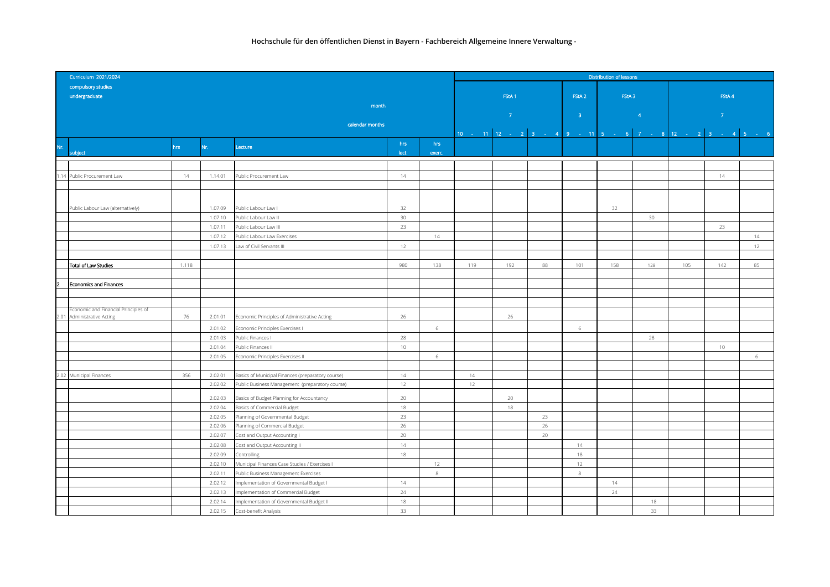|     | Curriculum 2021/2024                                               |       |                    |                                                                               |                 | Distribution of lessons |     |                   |    |                   |                   |                 |                                                            |                |    |
|-----|--------------------------------------------------------------------|-------|--------------------|-------------------------------------------------------------------------------|-----------------|-------------------------|-----|-------------------|----|-------------------|-------------------|-----------------|------------------------------------------------------------|----------------|----|
|     | compulsory studies                                                 |       |                    |                                                                               |                 |                         |     |                   |    |                   |                   |                 |                                                            |                |    |
|     | undergraduate                                                      |       |                    |                                                                               |                 |                         |     | FStA <sub>1</sub> |    | FStA <sub>2</sub> | FStA <sub>3</sub> |                 | FStA 4                                                     |                |    |
|     |                                                                    |       |                    | month                                                                         |                 |                         |     |                   |    |                   |                   |                 |                                                            |                |    |
|     |                                                                    |       |                    |                                                                               |                 |                         |     | $-7$              |    | $\overline{3}$    | $\overline{4}$    |                 |                                                            | 7 <sup>°</sup> |    |
|     | calendar months                                                    |       |                    |                                                                               |                 |                         |     |                   |    |                   |                   |                 |                                                            |                |    |
|     |                                                                    |       |                    |                                                                               |                 |                         |     |                   |    |                   |                   |                 | 10 - 11 12 - 2 3 - 4 9 - 11 5 - 6 7 - 8 12 - 2 3 - 4 5 - 6 |                |    |
| Nr. |                                                                    | hrs.  | Nr.                | Lecture                                                                       | hrs             | hrs                     |     |                   |    |                   |                   |                 |                                                            |                |    |
|     | subject                                                            |       |                    |                                                                               | lect.           | exerc.                  |     |                   |    |                   |                   |                 |                                                            |                |    |
|     |                                                                    |       |                    |                                                                               |                 |                         |     |                   |    |                   |                   |                 |                                                            |                |    |
|     | 1.14 Public Procurement Law                                        | 14    | 1.14.01            | Public Procurement Law                                                        | 14              |                         |     |                   |    |                   |                   |                 |                                                            | 14             |    |
|     |                                                                    |       |                    |                                                                               |                 |                         |     |                   |    |                   |                   |                 |                                                            |                |    |
|     |                                                                    |       |                    |                                                                               |                 |                         |     |                   |    |                   |                   |                 |                                                            |                |    |
|     | Public Labour Law (alternatively)                                  |       | 1.07.09            | Public Labour Law I                                                           | 32              |                         |     |                   |    |                   | 32                |                 |                                                            |                |    |
|     |                                                                    |       | 1.07.10            | Public Labour Law II                                                          | 30 <sup>°</sup> |                         |     |                   |    |                   |                   | 30 <sup>°</sup> |                                                            |                |    |
|     |                                                                    |       | 1.07.11            | Public Labour Law III                                                         | 23              |                         |     |                   |    |                   |                   |                 |                                                            | 23             |    |
|     |                                                                    |       | 1.07.12            | Public Labour Law Exercises                                                   |                 | 14                      |     |                   |    |                   |                   |                 |                                                            |                | 14 |
|     |                                                                    |       | 1.07.13            | Law of Civil Servants III                                                     | 12              |                         |     |                   |    |                   |                   |                 |                                                            |                | 12 |
|     |                                                                    |       |                    |                                                                               |                 |                         |     |                   |    |                   |                   |                 |                                                            |                |    |
|     | Total of Law Studies                                               | 1.118 |                    |                                                                               | 980             | 138                     | 119 | 192               | 88 | 101               | 158               | 128             | 105                                                        | 142            | 85 |
|     |                                                                    |       |                    |                                                                               |                 |                         |     |                   |    |                   |                   |                 |                                                            |                |    |
| 2   | Economics and Finances                                             |       |                    |                                                                               |                 |                         |     |                   |    |                   |                   |                 |                                                            |                |    |
|     |                                                                    |       |                    |                                                                               |                 |                         |     |                   |    |                   |                   |                 |                                                            |                |    |
|     |                                                                    |       |                    |                                                                               |                 |                         |     |                   |    |                   |                   |                 |                                                            |                |    |
|     | Economic and Financial Principles of<br>2.01 Administrative Acting | 76    | 2.01.01            |                                                                               | 26              |                         |     | 26                |    |                   |                   |                 |                                                            |                |    |
|     |                                                                    |       |                    | Economic Principles of Administrative Acting                                  |                 |                         |     |                   |    |                   |                   |                 |                                                            |                |    |
|     |                                                                    |       | 2.01.02            | Economic Principles Exercises I                                               |                 | 6                       |     |                   |    | 6                 |                   |                 |                                                            |                |    |
|     |                                                                    |       | 2.01.03            | Public Finances I                                                             | 28              |                         |     |                   |    |                   |                   | 28              |                                                            |                |    |
|     |                                                                    |       | 2.01.04            | Public Finances II                                                            | 10              |                         |     |                   |    |                   |                   |                 |                                                            | $10 -$         |    |
|     |                                                                    |       | 2.01.05            | Economic Principles Exercises II                                              |                 | 6                       |     |                   |    |                   |                   |                 |                                                            |                | 6  |
|     | 2.02 Municipal Finances                                            | 356   | 2.02.01            | Basics of Municipal Finances (preparatory course)                             | 14              |                         | 14  |                   |    |                   |                   |                 |                                                            |                |    |
|     |                                                                    |       | 2.02.02            | Public Business Management (preparatory course)                               | 12              |                         | 12  |                   |    |                   |                   |                 |                                                            |                |    |
|     |                                                                    |       |                    |                                                                               |                 |                         |     |                   |    |                   |                   |                 |                                                            |                |    |
|     |                                                                    |       | 2.02.03            | Basics of Budget Planning for Accountancy                                     | 20              |                         |     | 20                |    |                   |                   |                 |                                                            |                |    |
|     |                                                                    |       | 2.02.04            | Basics of Commercial Budget                                                   | 18              |                         |     | 18                |    |                   |                   |                 |                                                            |                |    |
|     |                                                                    |       | 2.02.05            | Planning of Governmental Budget                                               | 23              |                         |     |                   | 23 |                   |                   |                 |                                                            |                |    |
|     |                                                                    |       | 2.02.06            | Planning of Commercial Budget                                                 | 26              |                         |     |                   | 26 |                   |                   |                 |                                                            |                |    |
|     |                                                                    |       | 2.02.07            | Cost and Output Accounting I                                                  | 20              |                         |     |                   | 20 |                   |                   |                 |                                                            |                |    |
|     |                                                                    |       | 2.02.08            | Cost and Output Accounting II                                                 | 14              |                         |     |                   |    | 14                |                   |                 |                                                            |                |    |
|     |                                                                    |       | 2.02.09            | Controlling                                                                   | 18              |                         |     |                   |    | 18                |                   |                 |                                                            |                |    |
|     |                                                                    |       | 2.02.10<br>2.02.11 | Municipal Finances Case Studies / Exercises I                                 |                 | 12<br>$\,$ 8 $\,$       |     |                   |    | 12<br>8           |                   |                 |                                                            |                |    |
|     |                                                                    |       | 2.02.12            | Public Business Management Exercises                                          | 14              |                         |     |                   |    |                   | 14                |                 |                                                            |                |    |
|     |                                                                    |       | 2.02.13            | Implementation of Governmental Budget I<br>mplementation of Commercial Budget | 24              |                         |     |                   |    |                   | 24                |                 |                                                            |                |    |
|     |                                                                    |       | 2.02.14            | Implementation of Governmental Budget II                                      | 18              |                         |     |                   |    |                   |                   | 18              |                                                            |                |    |
|     |                                                                    |       | 2.02.15            | Cost-benefit Analysis                                                         | 33              |                         |     |                   |    |                   |                   | 33              |                                                            |                |    |
|     |                                                                    |       |                    |                                                                               |                 |                         |     |                   |    |                   |                   |                 |                                                            |                |    |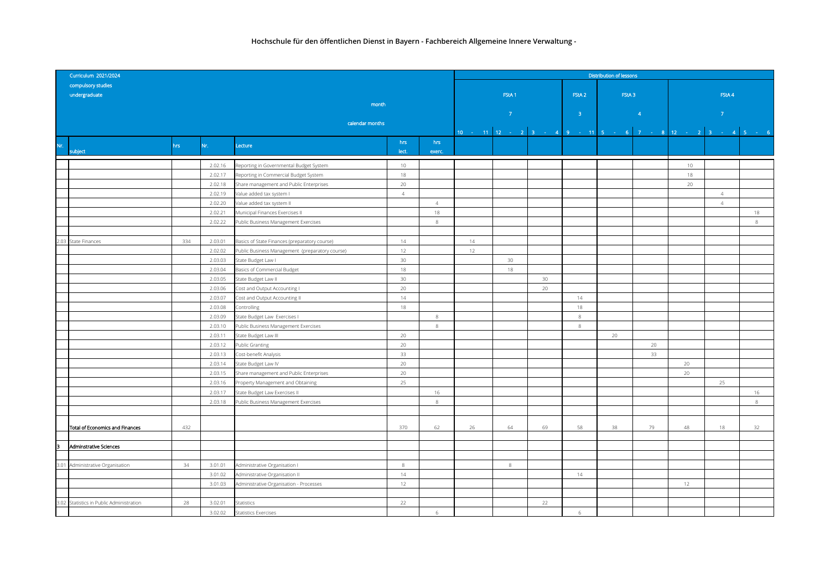| Curriculum 2021/2024 |                                          |      |         |                                                 |                 |                |                                                                            | <b>Distribution of lessons</b> |                 |                   |       |                        |                |                |    |  |  |
|----------------------|------------------------------------------|------|---------|-------------------------------------------------|-----------------|----------------|----------------------------------------------------------------------------|--------------------------------|-----------------|-------------------|-------|------------------------|----------------|----------------|----|--|--|
|                      | compulsory studies                       |      |         |                                                 |                 |                |                                                                            |                                |                 |                   |       |                        |                |                |    |  |  |
|                      | undergraduate                            |      |         |                                                 |                 |                |                                                                            | FStA <sub>1</sub>              |                 | FStA <sub>2</sub> | FStA3 |                        | FStA 4         |                |    |  |  |
|                      |                                          |      |         | month                                           |                 |                |                                                                            |                                |                 |                   |       |                        |                |                |    |  |  |
|                      |                                          |      |         |                                                 |                 |                |                                                                            | $7^{\circ}$                    |                 | $-3$              |       | $\left 4\right\rangle$ | 7 <sup>°</sup> |                |    |  |  |
|                      |                                          |      |         | calendar months                                 |                 |                |                                                                            |                                |                 |                   |       |                        |                |                |    |  |  |
|                      |                                          |      |         |                                                 |                 |                | 10 - 11   12 - 2   3 - 4   9 - 11   5 - 6   7 - 8   12 - 2   3 - 4   5 - 6 |                                |                 |                   |       |                        |                |                |    |  |  |
| Nr.                  | subject                                  | hrs. | Nr.     | Lecture                                         | hrs<br>lect.    | hrs<br>exerc.  |                                                                            |                                |                 |                   |       |                        |                |                |    |  |  |
|                      |                                          |      |         |                                                 |                 |                |                                                                            |                                |                 |                   |       |                        |                |                |    |  |  |
|                      |                                          |      | 2.02.16 | Reporting in Governmental Budget System         | $10 -$          |                |                                                                            |                                |                 |                   |       |                        | 10             |                |    |  |  |
|                      |                                          |      | 2.02.17 | Reporting in Commercial Budget System           | 18              |                |                                                                            |                                |                 |                   |       |                        | 18             |                |    |  |  |
|                      |                                          |      | 2.02.18 | Share management and Public Enterprises         | 20 <sub>2</sub> |                |                                                                            |                                |                 |                   |       |                        | 20             |                |    |  |  |
|                      |                                          |      | 2.02.19 | Value added tax system I                        | $\overline{4}$  |                |                                                                            |                                |                 |                   |       |                        |                | $\overline{4}$ |    |  |  |
|                      |                                          |      | 2.02.20 | Value added tax system II                       |                 | $\overline{4}$ |                                                                            |                                |                 |                   |       |                        |                | $\overline{4}$ |    |  |  |
|                      |                                          |      | 2.02.21 | Municipal Finances Exercises II                 |                 | 18             |                                                                            |                                |                 |                   |       |                        |                |                | 18 |  |  |
|                      |                                          |      | 2.02.22 | Public Business Management Exercises            |                 | $\,$ 8 $\,$    |                                                                            |                                |                 |                   |       |                        |                |                | 8  |  |  |
|                      |                                          |      |         |                                                 |                 |                |                                                                            |                                |                 |                   |       |                        |                |                |    |  |  |
|                      | 2.03 State Finances                      | 334  | 2.03.01 | Basics of State Finances (preparatory course)   | 14              |                | 14                                                                         |                                |                 |                   |       |                        |                |                |    |  |  |
|                      |                                          |      | 2.02.02 | Public Business Management (preparatory course) | 12              |                | 12                                                                         |                                |                 |                   |       |                        |                |                |    |  |  |
|                      |                                          |      | 2.03.03 | State Budget Law I                              | 30 <sup>°</sup> |                |                                                                            | 30                             |                 |                   |       |                        |                |                |    |  |  |
|                      |                                          |      | 2.03.04 | Basics of Commercial Budget                     | 18              |                |                                                                            | 18                             |                 |                   |       |                        |                |                |    |  |  |
|                      |                                          |      | 2.03.05 | State Budget Law II                             | $30\,$          |                |                                                                            |                                | 30 <sup>°</sup> |                   |       |                        |                |                |    |  |  |
|                      |                                          |      | 2.03.06 | Cost and Output Accounting I                    | 20              |                |                                                                            |                                | 20              |                   |       |                        |                |                |    |  |  |
|                      |                                          |      | 2.03.07 | Cost and Output Accounting II                   | 14              |                |                                                                            |                                |                 | 14                |       |                        |                |                |    |  |  |
|                      |                                          |      | 2.03.08 | Controlling                                     | 18              |                |                                                                            |                                |                 | 18                |       |                        |                |                |    |  |  |
|                      |                                          |      | 2.03.09 | State Budget Law Exercises I                    |                 | $\,$ 8 $\,$    |                                                                            |                                |                 | 8                 |       |                        |                |                |    |  |  |
|                      |                                          |      | 2.03.10 | Public Business Management Exercises            |                 | 8              |                                                                            |                                |                 | $\,$ 8            |       |                        |                |                |    |  |  |
|                      |                                          |      | 2.03.11 | State Budget Law III                            | 20              |                |                                                                            |                                |                 |                   | 20    |                        |                |                |    |  |  |
|                      |                                          |      | 2.03.12 | <b>Public Granting</b>                          | 20              |                |                                                                            |                                |                 |                   |       | 20                     |                |                |    |  |  |
|                      |                                          |      | 2.03.13 | Cost-benefit Analysis                           | 33              |                |                                                                            |                                |                 |                   |       | 33                     |                |                |    |  |  |
|                      |                                          |      | 2.03.14 | State Budget Law IV                             | 20              |                |                                                                            |                                |                 |                   |       |                        | 20             |                |    |  |  |
|                      |                                          |      | 2.03.15 | Share management and Public Enterprises         | 20              |                |                                                                            |                                |                 |                   |       |                        | 20             |                |    |  |  |
|                      |                                          |      | 2.03.16 | Property Management and Obtaining               | 25              |                |                                                                            |                                |                 |                   |       |                        |                | 25             |    |  |  |
|                      |                                          |      | 2.03.17 | State Budget Law Exercises II                   |                 | 16             |                                                                            |                                |                 |                   |       |                        |                |                | 16 |  |  |
|                      |                                          |      | 2.03.18 | Public Business Management Exercises            |                 | $\,$ 8 $\,$    |                                                                            |                                |                 |                   |       |                        |                |                | 8  |  |  |
|                      |                                          |      |         |                                                 |                 |                |                                                                            |                                |                 |                   |       |                        |                |                |    |  |  |
|                      |                                          |      |         |                                                 |                 |                |                                                                            |                                |                 |                   |       |                        |                |                |    |  |  |
|                      | Total of Economics and Finances          | 432  |         |                                                 | 370             | 62             | 26                                                                         | 64                             | 69              | 58                | 38    | 79                     | 48             | 18             | 32 |  |  |
|                      |                                          |      |         |                                                 |                 |                |                                                                            |                                |                 |                   |       |                        |                |                |    |  |  |
| lз                   | Adminstrative Sciences                   |      |         |                                                 |                 |                |                                                                            |                                |                 |                   |       |                        |                |                |    |  |  |
|                      |                                          |      |         |                                                 |                 |                |                                                                            |                                |                 |                   |       |                        |                |                |    |  |  |
|                      | 3.01 Administrative Organisation         | 34   | 3.01.01 | Administrative Organisation I                   | 8               |                |                                                                            | 8                              |                 |                   |       |                        |                |                |    |  |  |
|                      |                                          |      | 3.01.02 | Administrative Organisation II                  | 14              |                |                                                                            |                                |                 | 14                |       |                        |                |                |    |  |  |
|                      |                                          |      | 3.01.03 | Administrative Organisation - Processes         | 12              |                |                                                                            |                                |                 |                   |       |                        | 12             |                |    |  |  |
|                      |                                          |      |         |                                                 |                 |                |                                                                            |                                |                 |                   |       |                        |                |                |    |  |  |
|                      | 3.02 Statistics in Public Administration | 28   | 3.02.01 | Statistics                                      | 22              |                |                                                                            |                                | 22              |                   |       |                        |                |                |    |  |  |
|                      |                                          |      | 3.02.02 | <b>Statistics Exercises</b>                     |                 | 6              |                                                                            |                                |                 | 6                 |       |                        |                |                |    |  |  |
|                      |                                          |      |         |                                                 |                 |                |                                                                            |                                |                 |                   |       |                        |                |                |    |  |  |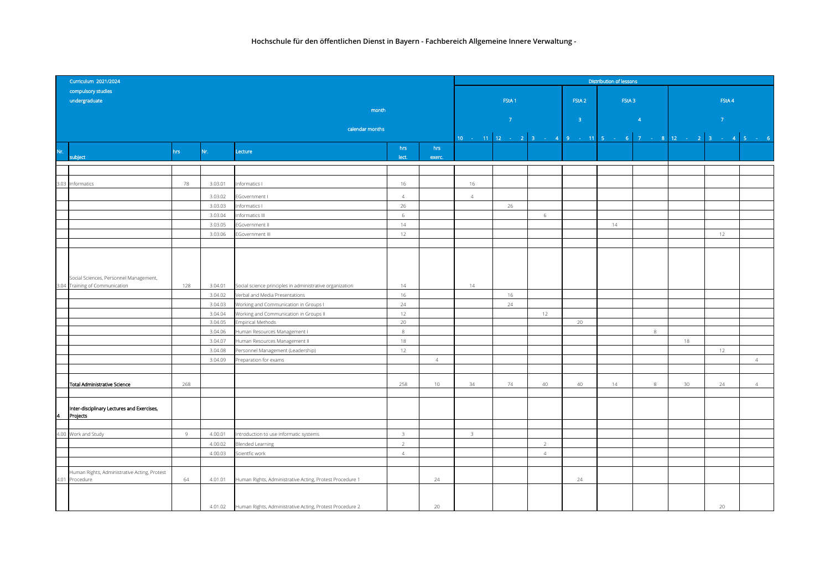|      | Curriculum 2021/2024                         |      | Distribution of lessons |                                                                  |                         |                |                                                            |                   |                |                   |                   |   |        |    |                |
|------|----------------------------------------------|------|-------------------------|------------------------------------------------------------------|-------------------------|----------------|------------------------------------------------------------|-------------------|----------------|-------------------|-------------------|---|--------|----|----------------|
|      | compulsory studies                           |      |                         |                                                                  |                         |                |                                                            |                   |                |                   |                   |   |        |    |                |
|      | undergraduate                                |      |                         |                                                                  |                         |                |                                                            | FStA <sub>1</sub> |                | FStA <sub>2</sub> | FStA <sub>3</sub> |   | FStA 4 |    |                |
|      |                                              |      |                         | month                                                            |                         |                |                                                            |                   |                |                   |                   |   |        |    |                |
|      |                                              |      |                         |                                                                  | $\mathcal{T}$           |                |                                                            | $\overline{3}$    |                | $\overline{4}$    | $\overline{7}$    |   |        |    |                |
|      |                                              |      |                         | calendar months                                                  |                         |                |                                                            |                   |                |                   |                   |   |        |    |                |
|      |                                              |      |                         |                                                                  |                         |                | 10 - 11 12 - 2 3 - 4 9 - 11 5 - 6 7 - 8 12 - 2 3 - 4 5 - 6 |                   |                |                   |                   |   |        |    |                |
| Nr.  |                                              | hrs. | Nr.                     | Lecture                                                          | hrs                     | hrs            |                                                            |                   |                |                   |                   |   |        |    |                |
|      | subject                                      |      |                         |                                                                  | lect.                   | exerc.         |                                                            |                   |                |                   |                   |   |        |    |                |
|      |                                              |      |                         |                                                                  |                         |                |                                                            |                   |                |                   |                   |   |        |    |                |
|      |                                              | 78   | 3.03.01                 |                                                                  |                         |                |                                                            |                   |                |                   |                   |   |        |    |                |
| 3.03 | Informatics                                  |      |                         | Informatics I                                                    | 16                      |                | 16                                                         |                   |                |                   |                   |   |        |    |                |
|      |                                              |      | 3.03.02                 | EGovernment I                                                    | $\overline{4}$          |                | $\overline{4}$                                             |                   |                |                   |                   |   |        |    |                |
|      |                                              |      | 3.03.03                 | Informatics I                                                    | 26                      |                |                                                            | 26                |                |                   |                   |   |        |    |                |
|      |                                              |      | 3.03.04                 | Informatics III                                                  | 6                       |                |                                                            |                   | 6              |                   |                   |   |        |    |                |
|      |                                              |      | 3.03.05                 | EGovernment II                                                   | 14                      |                |                                                            |                   |                |                   | 14                |   |        |    |                |
|      |                                              |      | 3.03.06                 | EGovernment III                                                  | 12                      |                |                                                            |                   |                |                   |                   |   |        | 12 |                |
|      |                                              |      |                         |                                                                  |                         |                |                                                            |                   |                |                   |                   |   |        |    |                |
|      |                                              |      |                         |                                                                  |                         |                |                                                            |                   |                |                   |                   |   |        |    |                |
|      |                                              |      |                         |                                                                  |                         |                |                                                            |                   |                |                   |                   |   |        |    |                |
|      |                                              |      |                         |                                                                  |                         |                |                                                            |                   |                |                   |                   |   |        |    |                |
| 3.04 | Social Sciences, Personnel Management,       | 128  | 3.04.01                 |                                                                  | 14                      |                | 14                                                         |                   |                |                   |                   |   |        |    |                |
|      | Training of Communication                    |      |                         | Social science principles in administrative organization         |                         |                |                                                            |                   |                |                   |                   |   |        |    |                |
|      |                                              |      | 3.04.02                 | Verbal and Media Presentations                                   | 16                      |                |                                                            | 16                |                |                   |                   |   |        |    |                |
|      |                                              |      | 3.04.03                 | Working and Communication in Groups I                            | 24                      |                |                                                            | 24                |                |                   |                   |   |        |    |                |
|      |                                              |      | 3.04.04<br>3.04.05      | Working and Communication in Groups II                           | 12<br>20                |                |                                                            |                   | 12             | 20                |                   |   |        |    |                |
|      |                                              |      |                         | <b>Empirical Methods</b>                                         |                         |                |                                                            |                   |                |                   |                   |   |        |    |                |
|      |                                              |      | 3.04.06                 | Human Resources Management I                                     | 8                       |                |                                                            |                   |                |                   |                   | 8 |        |    |                |
|      |                                              |      | 3.04.07                 | Human Resources Management II                                    | 18                      |                |                                                            |                   |                |                   |                   |   | 18     |    |                |
|      |                                              |      | 3.04.08                 | Personnel Management (Leadership)                                | 12                      |                |                                                            |                   |                |                   |                   |   |        | 12 |                |
|      |                                              |      | 3.04.09                 | Preparation for exams                                            |                         | $\overline{4}$ |                                                            |                   |                |                   |                   |   |        |    | $\overline{4}$ |
|      |                                              |      |                         |                                                                  |                         |                |                                                            |                   |                |                   |                   |   |        |    |                |
|      | <b>Total Administrative Science</b>          | 268  |                         |                                                                  | 258                     | $10 -$         | 34                                                         | 74                | 40             | 40                | 14                | 8 | 30     | 24 | $\overline{4}$ |
|      |                                              |      |                         |                                                                  |                         |                |                                                            |                   |                |                   |                   |   |        |    |                |
|      |                                              |      |                         |                                                                  |                         |                |                                                            |                   |                |                   |                   |   |        |    |                |
|      | Inter-disciplinary Lectures and Exercises,   |      |                         |                                                                  |                         |                |                                                            |                   |                |                   |                   |   |        |    |                |
|      | Projects                                     |      |                         |                                                                  |                         |                |                                                            |                   |                |                   |                   |   |        |    |                |
|      |                                              |      |                         |                                                                  |                         |                |                                                            |                   |                |                   |                   |   |        |    |                |
| 4.00 | Work and Study                               | 9    | 4.00.01                 | Introduction to use informatic systems                           | $\overline{\mathbf{3}}$ |                | $\overline{\mathbf{3}}$                                    |                   |                |                   |                   |   |        |    |                |
|      |                                              |      | 4.00.02                 | <b>Blended Learning</b>                                          | 2                       |                |                                                            |                   | $\overline{2}$ |                   |                   |   |        |    |                |
|      |                                              |      | 4.00.03                 | Scientfic work                                                   | $\overline{4}$          |                |                                                            |                   | $\overline{4}$ |                   |                   |   |        |    |                |
|      |                                              |      |                         |                                                                  |                         |                |                                                            |                   |                |                   |                   |   |        |    |                |
|      | Human Rights, Administrative Acting, Protest |      |                         |                                                                  |                         |                |                                                            |                   |                |                   |                   |   |        |    |                |
| 4.01 | Procedure                                    | 64   | 4.01.01                 | Human Rights, Administrative Acting, Protest Procedure 1         |                         | 24             |                                                            |                   |                | 24                |                   |   |        |    |                |
|      |                                              |      |                         |                                                                  |                         |                |                                                            |                   |                |                   |                   |   |        |    |                |
|      |                                              |      |                         |                                                                  |                         |                |                                                            |                   |                |                   |                   |   |        |    |                |
|      |                                              |      |                         | 4.01.02 Human Rights, Administrative Acting, Protest Procedure 2 |                         | 20             |                                                            |                   |                |                   |                   |   |        | 20 |                |